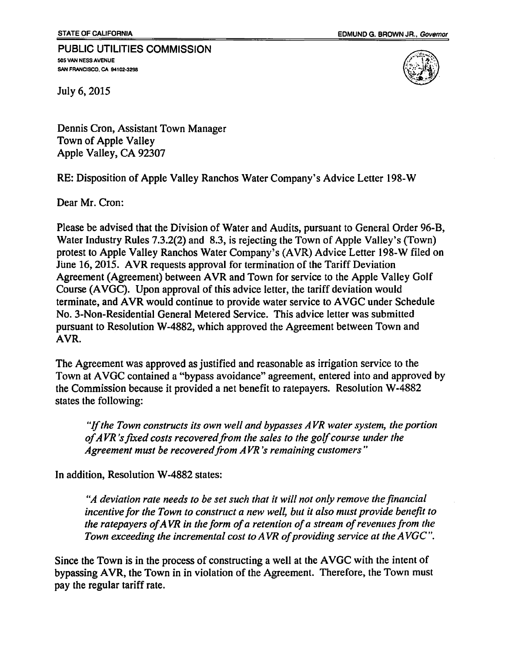## PUBLIC UTILITIES COMMISSION 505 VAN NESS AVENUE SAN FRANCISCO, CA 94102-3298



July 6, 2015

Dennis Cron, Assistant Town Manager Town of Apple Valley Apple Valley, CA 92307

RE: Disposition of Apple Valley Ranchos Water Company's Advice Letter 198-W

Dear Mr. Cron:

Please be advised that the Division of Water and Audits, pursuant to General Order 96-B, Water Industry Rules 7.3.2(2) and 8.3, is rejecting the Town of Apple Valley's (Town) protest to Apple Valley Ranchos Water Company's (AYR) Advice Letter 198-W filed on June 16, 2015. A YR requests approval for termination of the Tariff Deviation Agreement (Agreement) between A YR and Town for service to the Apple Valley Golf Course (AVGC). Upon approval of this advice letter, the tariff deviation would terminate, and AVR would continue to provide water service to AVGC under Schedule No. 3-Non-Residential General Metered Service. This advice letter was submitted pursuant to Resolution W-4882, which approved the Agreement between Town and AYR.

The Agreement was approved as justified and reasonable as irrigation service to the Town at AVGC contained a "bypass avoidance" agreement, entered into and approved by the Commission because it provided a net benefit to ratepayers. Resolution W-4882 states the following:

*"Jfthe Town constructs its own well and bypasses AVR water system, the portion*  of AVR's fixed costs recovered from the sales to the golf course under the *Agreement must be recovered from AVR 's remaining customers"* 

In addition, Resolution W-4882 states:

*"A deviation rate needs to be set such that it will not only remove the financial incentive for the Town to construct a new well, but it also must provide benefit to the ratepayers of A VR in the form of a retention of a stream of revenues from the Town exceeding the incremental cost to A VR of providing service at the A VGC* ".

Since the Town is in the process of constructing a well at the AVGC with the intent of bypassing AVR, the Town in in violation of the Agreement. Therefore, the Town must pay the regular tariff rate.